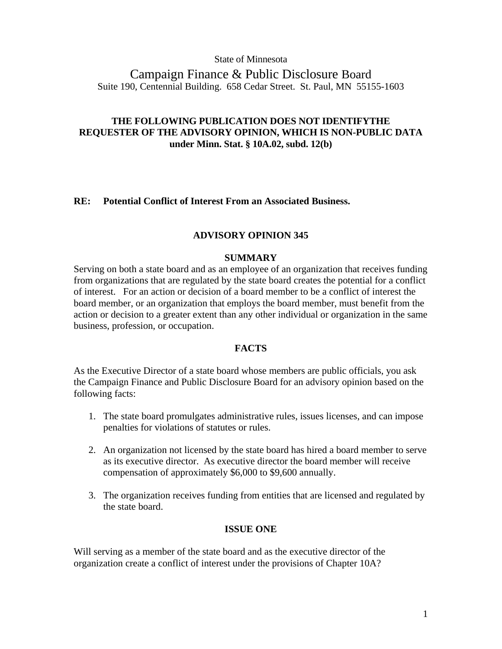State of Minnesota

Campaign Finance & Public Disclosure Board Suite 190, Centennial Building. 658 Cedar Street. St. Paul, MN 55155-1603

# **THE FOLLOWING PUBLICATION DOES NOT IDENTIFYTHE REQUESTER OF THE ADVISORY OPINION, WHICH IS NON-PUBLIC DATA under Minn. Stat. § 10A.02, subd. 12(b)**

# **RE: Potential Conflict of Interest From an Associated Business.**

### **ADVISORY OPINION 345**

#### **SUMMARY**

Serving on both a state board and as an employee of an organization that receives funding from organizations that are regulated by the state board creates the potential for a conflict of interest. For an action or decision of a board member to be a conflict of interest the board member, or an organization that employs the board member, must benefit from the action or decision to a greater extent than any other individual or organization in the same business, profession, or occupation.

# **FACTS**

As the Executive Director of a state board whose members are public officials, you ask the Campaign Finance and Public Disclosure Board for an advisory opinion based on the following facts:

- 1. The state board promulgates administrative rules, issues licenses, and can impose penalties for violations of statutes or rules.
- 2. An organization not licensed by the state board has hired a board member to serve as its executive director. As executive director the board member will receive compensation of approximately \$6,000 to \$9,600 annually.
- 3. The organization receives funding from entities that are licensed and regulated by the state board.

## **ISSUE ONE**

Will serving as a member of the state board and as the executive director of the organization create a conflict of interest under the provisions of Chapter 10A?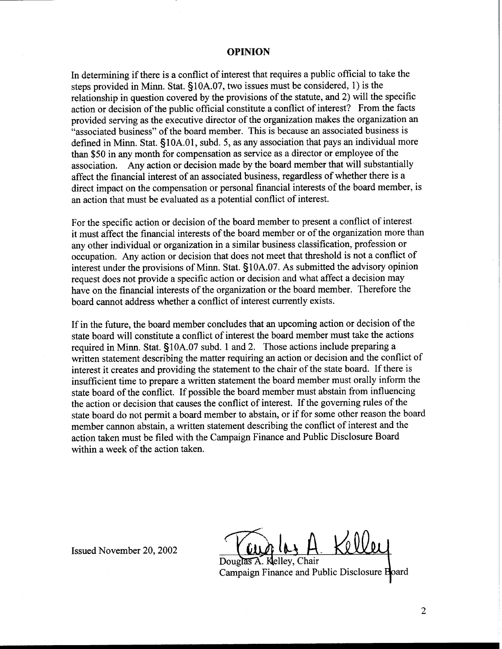#### **OPINION**

In determining if there is a conflict of interest that requires a public official to take the steps provided in Minn. Stat. S10A.07, two issues must be considered, 1) is the relationship in question covered by the provisions of the statute, and 2) will the specific action or decision of the public official constitute a conflict of interest? From the facts provided serving as the executive director of the organization makes the organization an "associated business" of the board member. This is because an associated business is defined in Minn. Stat. §10A.01, subd. 5, as any association that pays an individual more than \$50 in any month for compensation as service as a director or employee of the association. Any action or decision made by the board member that will substantially affect the financial interest of an associated business, regardless of whether there is a direct impact on the compensation or personal financial interests of the board member, is an action that must be evaluated as a potential conflict of interest.

For the specific action or decision of the board member to present a conflict of interest. it must affect the financial interests of the board member or of the organization more than any other individual or organization in a similar business classification, profession or occupation. Any action or decision that does not meet that threshold is not a conflict of interest under the provisions of Minn. Stat. § 10A.07. As submitted the advisory opinion request does not provide a specific action or decision and what affect a decision may have on the financial interests of the organization or the board member. Therefore the board cannot address whether a conflict of interest currently exists.

If in the future, the board member concludes that an upcoming action or decision of the state board will constitute a conflict of interest the board member must take the actions required in Minn. Stat. 510A.07 subd. 1 and 2. Those actions include preparing a written statement describing the matter requiring an action or decision and the conflict of interest it creates and providing the statement to the chair of the state board. If there is insufficient time to prepare a written statement the board member must orally inform the state board of the conflict. If possible the board member must abstain from influencing the action or decision that causes the conflict of interest. If the governing rules of the state board do not permit a board member to abstain, or if for some other reason the board member cannon abstain, a written statement describing the conflict of interest and the action taken must be filed with the Campaign Finance and Public Disclosure Board within a week of the action taken.

Issued November 20,2002

Douglas A. Klelley, Chair

Campaign Finance and Public Disclosure Board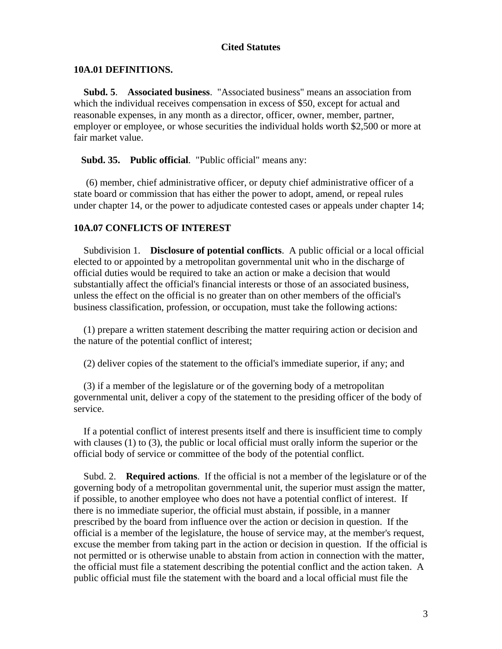# **Cited Statutes**

#### **10A.01 DEFINITIONS.**

 **Subd. 5**. **Associated business**. "Associated business" means an association from which the individual receives compensation in excess of \$50, except for actual and reasonable expenses, in any month as a director, officer, owner, member, partner, employer or employee, or whose securities the individual holds worth \$2,500 or more at fair market value.

**Subd. 35. Public official**. "Public official" means any:

 (6) member, chief administrative officer, or deputy chief administrative officer of a state board or commission that has either the power to adopt, amend, or repeal rules under chapter 14, or the power to adjudicate contested cases or appeals under chapter 14;

# **10A.07 CONFLICTS OF INTEREST**

 Subdivision 1. **Disclosure of potential conflicts**. A public official or a local official elected to or appointed by a metropolitan governmental unit who in the discharge of official duties would be required to take an action or make a decision that would substantially affect the official's financial interests or those of an associated business, unless the effect on the official is no greater than on other members of the official's business classification, profession, or occupation, must take the following actions:

 (1) prepare a written statement describing the matter requiring action or decision and the nature of the potential conflict of interest;

(2) deliver copies of the statement to the official's immediate superior, if any; and

 (3) if a member of the legislature or of the governing body of a metropolitan governmental unit, deliver a copy of the statement to the presiding officer of the body of service.

 If a potential conflict of interest presents itself and there is insufficient time to comply with clauses (1) to (3), the public or local official must orally inform the superior or the official body of service or committee of the body of the potential conflict.

 Subd. 2. **Required actions**. If the official is not a member of the legislature or of the governing body of a metropolitan governmental unit, the superior must assign the matter, if possible, to another employee who does not have a potential conflict of interest. If there is no immediate superior, the official must abstain, if possible, in a manner prescribed by the board from influence over the action or decision in question. If the official is a member of the legislature, the house of service may, at the member's request, excuse the member from taking part in the action or decision in question. If the official is not permitted or is otherwise unable to abstain from action in connection with the matter, the official must file a statement describing the potential conflict and the action taken. A public official must file the statement with the board and a local official must file the